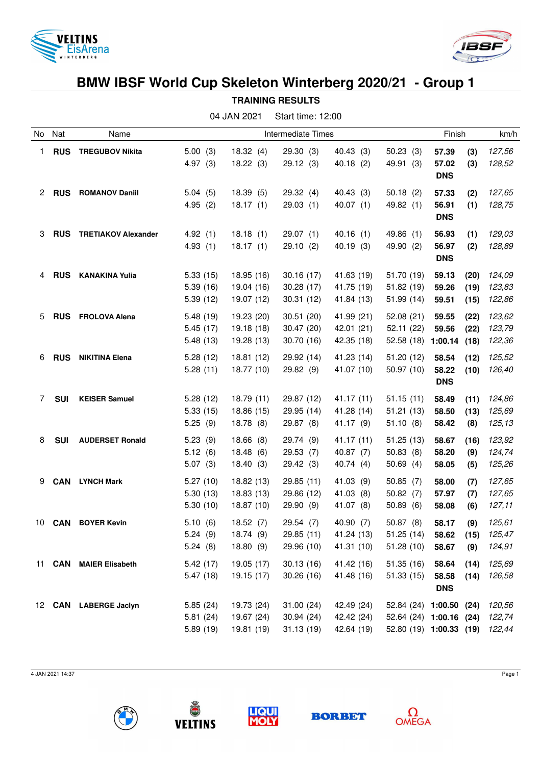



## **BMW IBSF World Cup Skeleton Winterberg 2020/21 - Group 1 TRAINING RESULTS**

| 04 JAN 2021<br>Start time: 12:00 |               |                            |                                  |                                        |                                       |                                        |                                                                               |                              |                      |                            |  |
|----------------------------------|---------------|----------------------------|----------------------------------|----------------------------------------|---------------------------------------|----------------------------------------|-------------------------------------------------------------------------------|------------------------------|----------------------|----------------------------|--|
| No                               | Nat           | Name                       |                                  | Intermediate Times                     |                                       |                                        |                                                                               |                              | Finish               | km/h                       |  |
| 1                                | <b>RUS</b>    | <b>TREGUBOV Nikita</b>     | 5.00(3)<br>4.97(3)               | 18.32(4)<br>18.22(3)                   | 29.30(3)<br>29.12(3)                  | 40.43 (3)<br>40.18(2)                  | 50.23(3)<br>49.91 (3)                                                         | 57.39<br>57.02<br><b>DNS</b> | (3)<br>(3)           | 127,56<br>128,52           |  |
| 2                                | <b>RUS</b>    | <b>ROMANOV Daniil</b>      | 5.04(5)<br>4.95(2)               | 18.39(5)<br>18.17(1)                   | 29.32 (4)<br>29.03(1)                 | 40.43 (3)<br>40.07(1)                  | 50.18(2)<br>49.82 (1)                                                         | 57.33<br>56.91<br><b>DNS</b> | (2)<br>(1)           | 127,65<br>128,75           |  |
| 3                                | <b>RUS</b>    | <b>TRETIAKOV Alexander</b> | 4.92(1)<br>4.93(1)               | 18.18(1)<br>18.17(1)                   | 29.07(1)<br>29.10(2)                  | 40.16(1)<br>40.19(3)                   | 49.86 (1)<br>49.90 (2)                                                        | 56.93<br>56.97<br><b>DNS</b> | (1)<br>(2)           | 129,03<br>128,89           |  |
| 4                                | <b>RUS</b>    | <b>KANAKINA Yulia</b>      | 5.33(15)<br>5.39(16)<br>5.39(12) | 18.95 (16)<br>19.04 (16)<br>19.07 (12) | 30.16(17)<br>30.28 (17)<br>30.31(12)  | 41.63 (19)<br>41.75 (19)<br>41.84 (13) | 51.70 (19)<br>51.82 (19)<br>51.99 (14)                                        | 59.13<br>59.26<br>59.51      | (20)<br>(19)<br>(15) | 124,09<br>123,83<br>122,86 |  |
| 5                                | <b>RUS</b>    | <b>FROLOVA Alena</b>       | 5.48(19)<br>5.45(17)<br>5.48(13) | 19.23 (20)<br>19.18 (18)<br>19.28 (13) | 30.51(20)<br>30.47 (20)<br>30.70 (16) | 41.99 (21)<br>42.01 (21)<br>42.35 (18) | 52.08(21)<br>52.11 (22)<br>52.58(18)                                          | 59.55<br>59.56<br>1:00.14    | (22)<br>(22)<br>(18) | 123,62<br>123,79<br>122,36 |  |
| 6                                | <b>RUS</b>    | <b>NIKITINA Elena</b>      | 5.28(12)<br>5.28(11)             | 18.81 (12)<br>18.77 (10)               | 29.92 (14)<br>29.82 (9)               | 41.23 (14)<br>41.07 (10)               | 51.20 (12)<br>50.97 (10)                                                      | 58.54<br>58.22<br><b>DNS</b> | (12)<br>(10)         | 125,52<br>126,40           |  |
| 7                                | <b>SUI</b>    | <b>KEISER Samuel</b>       | 5.28(12)<br>5.33(15)<br>5.25(9)  | 18.79(11)<br>18.86 (15)<br>18.78(8)    | 29.87 (12)<br>29.95 (14)<br>29.87 (8) | 41.17 (11)<br>41.28 (14)<br>41.17 (9)  | 51.15(11)<br>51.21(13)<br>51.10(8)                                            | 58.49<br>58.50<br>58.42      | (11)<br>(13)<br>(8)  | 124,86<br>125,69<br>125,13 |  |
| 8                                | <b>SUI</b>    | <b>AUDERSET Ronald</b>     | 5.23(9)<br>5.12(6)<br>5.07(3)    | 18.66<br>(8)<br>18.48(6)<br>18.40(3)   | 29.74 (9)<br>29.53(7)<br>29.42 (3)    | 41.17 (11)<br>40.87 (7)<br>40.74 (4)   | 51.25(13)<br>50.83(8)<br>50.69(4)                                             | 58.67<br>58.20<br>58.05      | (16)<br>(9)<br>(5)   | 123,92<br>124,74<br>125,26 |  |
| 9                                | <b>CAN</b>    | <b>LYNCH Mark</b>          | 5.27(10)<br>5.30(13)<br>5.30(10) | 18.82 (13)<br>18.83 (13)<br>18.87 (10) | 29.85 (11)<br>29.86 (12)<br>29.90 (9) | 41.03 (9)<br>41.03 (8)<br>41.07 (8)    | 50.85(7)<br>50.82(7)<br>50.89(6)                                              | 58.00<br>57.97<br>58.08      | (7)<br>(7)<br>(6)    | 127,65<br>127,65<br>127,11 |  |
|                                  | 10 <b>CAN</b> | <b>BOYER Kevin</b>         | 5.10(6)<br>5.24(9)<br>5.24(8)    | 18.52(7)<br>18.74 (9)<br>18.80(9)      | 29.54 (7)<br>29.85 (11)<br>29.96 (10) | 40.90 (7)<br>41.24 (13)<br>41.31 (10)  | 50.87(8)<br>51.25(14)<br>51.28(10)                                            | 58.17<br>58.62<br>58.67      | (9)<br>(15)<br>(9)   | 125,61<br>125,47<br>124,91 |  |
| 11                               | <b>CAN</b>    | <b>MAIER Elisabeth</b>     | 5.42(17)<br>5.47(18)             | 19.05 (17)<br>19.15 (17)               | 30.13(16)<br>30.26(16)                | 41.42 (16)<br>41.48 (16)               | 51.35(16)<br>51.33(15)                                                        | 58.64<br>58.58<br><b>DNS</b> | (14)<br>(14)         | 125,69<br>126,58           |  |
|                                  |               | 12 CAN LABERGE Jaclyn      | 5.85(24)<br>5.81(24)<br>5.89(19) | 19.73 (24)<br>19.67 (24)<br>19.81 (19) | 31.00(24)<br>30.94(24)<br>31.13(19)   | 42.49 (24)<br>42.42 (24)<br>42.64 (19) | 52.84 (24) 1:00.50 (24)<br>52.64 (24) 1:00.16 (24)<br>52.80 (19) 1:00.33 (19) |                              |                      | 120,56<br>122,74<br>122,44 |  |

4 JAN 2021 14:37 Page 1









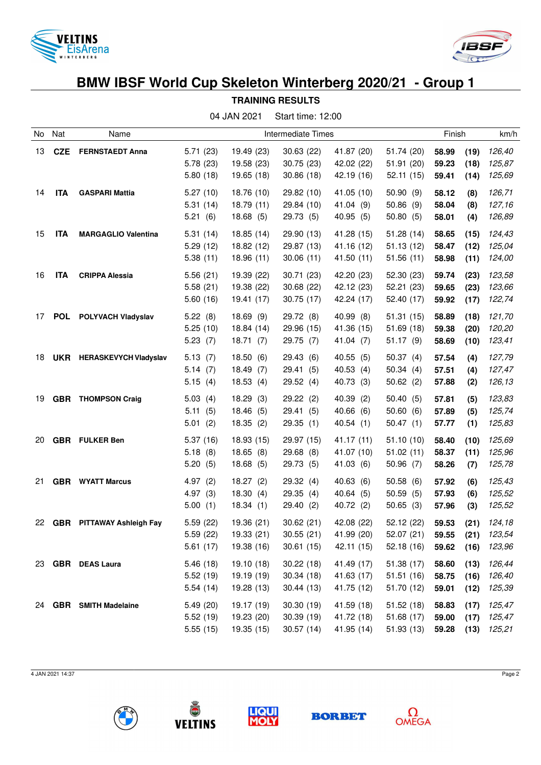



## **BMW IBSF World Cup Skeleton Winterberg 2020/21 - Group 1**

**TRAINING RESULTS**

|    | 04 JAN 2021<br>Start time: 12:00 |                              |                                  |                                        |                                       |                                           |                                       |                         |                      |                            |
|----|----------------------------------|------------------------------|----------------------------------|----------------------------------------|---------------------------------------|-------------------------------------------|---------------------------------------|-------------------------|----------------------|----------------------------|
| No | Nat                              | Name                         | Intermediate Times               |                                        |                                       |                                           |                                       | Finish                  | km/h                 |                            |
| 13 |                                  | <b>CZE</b> FERNSTAEDT Anna   | 5.71(23)<br>5.78(23)<br>5.80(18) | 19.49 (23)<br>19.58 (23)<br>19.65 (18) | 30.63(22)<br>30.75(23)<br>30.86(18)   | 41.87 (20)<br>42.02 (22)<br>42.19 (16)    | 51.74 (20)<br>51.91 (20)<br>52.11(15) | 58.99<br>59.23<br>59.41 | (19)<br>(18)<br>(14) | 126,40<br>125,87<br>125,69 |
| 14 | <b>ITA</b>                       | <b>GASPARI Mattia</b>        | 5.27(10)<br>5.31(14)<br>5.21(6)  | 18.76 (10)<br>18.79 (11)<br>18.68(5)   | 29.82 (10)<br>29.84 (10)<br>29.73 (5) | 41.05 (10)<br>41.04 (9)<br>40.95 (5)      | 50.90(9)<br>50.86(9)<br>50.80(5)      | 58.12<br>58.04<br>58.01 | (8)<br>(8)<br>(4)    | 126,71<br>127,16<br>126,89 |
| 15 | <b>ITA</b>                       | <b>MARGAGLIO Valentina</b>   | 5.31(14)<br>5.29(12)<br>5.38(11) | 18.85 (14)<br>18.82 (12)<br>18.96 (11) | 29.90 (13)<br>29.87 (13)<br>30.06(11) | 41.28 (15)<br>41.16 (12)<br>41.50 (11)    | 51.28(14)<br>51.13(12)<br>51.56(11)   | 58.65<br>58.47<br>58.98 | (15)<br>(12)<br>(11) | 124,43<br>125,04<br>124,00 |
| 16 | <b>ITA</b>                       | <b>CRIPPA Alessia</b>        | 5.56(21)<br>5.58(21)<br>5.60(16) | 19.39 (22)<br>19.38 (22)<br>19.41 (17) | 30.71(23)<br>30.68 (22)<br>30.75(17)  | 42.20 (23)<br>42.12 (23)<br>42.24 (17)    | 52.30 (23)<br>52.21(23)<br>52.40 (17) | 59.74<br>59.65<br>59.92 | (23)<br>(23)<br>(17) | 123,58<br>123,66<br>122,74 |
| 17 | <b>POL</b>                       | POLYVACH Vladyslav           | 5.22(8)<br>5.25(10)<br>5.23(7)   | 18.69(9)<br>18.84 (14)<br>18.71(7)     | 29.72 (8)<br>29.96 (15)<br>29.75 (7)  | 40.99 (8)<br>41.36 (15)<br>41.04 (7)      | 51.31(15)<br>51.69(18)<br>51.17(9)    | 58.89<br>59.38<br>58.69 | (18)<br>(20)<br>(10) | 121,70<br>120,20<br>123,41 |
| 18 |                                  | UKR HERASKEVYCH Vladyslav    | 5.13(7)<br>5.14(7)<br>5.15(4)    | 18.50(6)<br>18.49(7)<br>18.53(4)       | 29.43(6)<br>29.41<br>(5)<br>29.52(4)  | 40.55(5)<br>40.53<br>(4)<br>40.73 (3)     | 50.37(4)<br>50.34(4)<br>50.62(2)      | 57.54<br>57.51<br>57.88 | (4)<br>(4)<br>(2)    | 127,79<br>127,47<br>126,13 |
| 19 |                                  | <b>GBR</b> THOMPSON Craig    | 5.03(4)<br>5.11(5)<br>5.01(2)    | 18.29<br>(3)<br>18.46(5)<br>18.35(2)   | 29.22(2)<br>29.41<br>(5)<br>29.35(1)  | 40.39 (2)<br>40.66<br>(6)<br>40.54(1)     | 50.40(5)<br>50.60(6)<br>50.47(1)      | 57.81<br>57.89<br>57.77 | (5)<br>(5)<br>(1)    | 123,83<br>125,74<br>125,83 |
| 20 |                                  | <b>GBR</b> FULKER Ben        | 5.37(16)<br>5.18(8)<br>5.20(5)   | 18.93 (15)<br>18.65(8)<br>18.68 (5)    | 29.97 (15)<br>29.68(8)<br>29.73 (5)   | 41.17 (11)<br>41.07 (10)<br>41.03 (6)     | 51.10(10)<br>51.02(11)<br>50.96(7)    | 58.40<br>58.37<br>58.26 | (10)<br>(11)<br>(7)  | 125,69<br>125,96<br>125,78 |
| 21 |                                  | <b>GBR</b> WYATT Marcus      | 4.97(2)<br>4.97(3)<br>5.00(1)    | 18.27(2)<br>18.30(4)<br>18.34(1)       | 29.32(4)<br>29.35(4)<br>29.40(2)      | 40.63<br>(6)<br>40.64<br>(5)<br>40.72 (2) | 50.58(6)<br>50.59(5)<br>50.65(3)      | 57.92<br>57.93<br>57.96 | (6)<br>(6)<br>(3)    | 125,43<br>125,52<br>125,52 |
|    |                                  | 22 GBR PITTAWAY Ashleigh Fay | 5.59(22)<br>5.59(22)<br>5.61(17) | 19.36 (21)<br>19.33(21)<br>19.38 (16)  | 30.62(21)<br>30.55(21)<br>30.61(15)   | 42.08 (22)<br>41.99 (20)<br>42.11 (15)    | 52.12(22)<br>52.07(21)<br>52.18(16)   | 59.53<br>59.55<br>59.62 | (21)<br>(21)<br>(16) | 124,18<br>123,54<br>123,96 |
| 23 |                                  | <b>GBR</b> DEAS Laura        | 5.46(18)<br>5.52(19)<br>5.54(14) | 19.10 (18)<br>19.19 (19)<br>19.28 (13) | 30.22(18)<br>30.34(18)<br>30.44(13)   | 41.49 (17)<br>41.63 (17)<br>41.75 (12)    | 51.38 (17)<br>51.51(16)<br>51.70 (12) | 58.60<br>58.75<br>59.01 | (13)<br>(16)<br>(12) | 126,44<br>126,40<br>125,39 |
| 24 |                                  | <b>GBR</b> SMITH Madelaine   | 5.49(20)<br>5.52(19)<br>5.55(15) | 19.17 (19)<br>19.23 (20)<br>19.35 (15) | 30.30 (19)<br>30.39(19)<br>30.57(14)  | 41.59 (18)<br>41.72 (18)<br>41.95 (14)    | 51.52(18)<br>51.68 (17)<br>51.93(13)  | 58.83<br>59.00<br>59.28 | (17)<br>(17)<br>(13) | 125,47<br>125,47<br>125,21 |

4 JAN 2021 14:37 Page 2









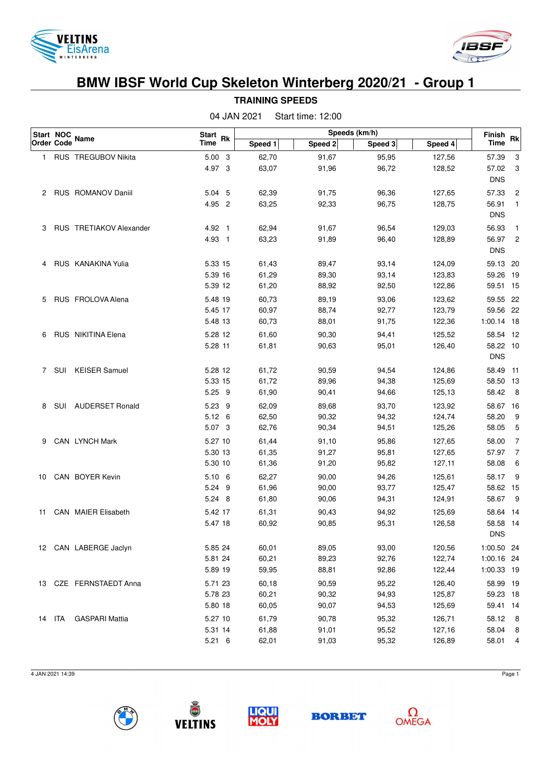



## **BMW IBSF World Cup Skeleton Winterberg 2020/21 - Group 1**

|                   | Start NOC |                            | Start Rk       |         | Speeds (km/h) |         |         |                       |                |
|-------------------|-----------|----------------------------|----------------|---------|---------------|---------|---------|-----------------------|----------------|
| <b>Order Code</b> |           | <b>Name</b>                | <b>Time</b>    | Speed 1 | Speed 2       | Speed 3 | Speed 4 | Finish<br><b>Time</b> | <b>Rk</b>      |
| 1.                |           | RUS TREGUBOV Nikita        | 5.00 3         | 62,70   | 91,67         | 95,95   | 127,56  | 57.39                 | 3              |
|                   |           |                            | 4.97 3         | 63,07   | 91,96         | 96,72   | 128,52  | 57.02                 | 3              |
|                   |           |                            |                |         |               |         |         | <b>DNS</b>            |                |
| 2                 |           | RUS ROMANOV Daniil         | 5.04 5         | 62,39   | 91,75         | 96,36   | 127,65  | 57.33                 | 2              |
|                   |           |                            | 4.95 2         | 63,25   | 92,33         | 96,75   | 128,75  | 56.91                 | $\overline{1}$ |
|                   |           |                            |                |         |               |         |         | <b>DNS</b>            |                |
| 3                 |           | RUS TRETIAKOV Alexander    | 4.92 1         | 62,94   | 91,67         | 96,54   | 129,03  | 56.93                 | 1              |
|                   |           |                            | 4.93 1         | 63,23   | 91,89         | 96,40   | 128,89  | 56.97                 | $\overline{c}$ |
|                   |           |                            |                |         |               |         |         | <b>DNS</b>            |                |
| 4                 |           | RUS KANAKINA Yulia         | 5.33 15        | 61,43   | 89,47         | 93,14   | 124,09  | 59.13 20              |                |
|                   |           |                            | 5.39 16        | 61,29   | 89,30         | 93,14   | 123,83  | 59.26 19              |                |
|                   |           |                            | 5.39 12        | 61,20   | 88,92         | 92,50   | 122,86  | 59.51 15              |                |
| 5                 |           | RUS FROLOVA Alena          | 5.48 19        | 60,73   | 89,19         | 93,06   | 123,62  | 59.55 22              |                |
|                   |           |                            | 5.45 17        | 60,97   | 88,74         | 92,77   | 123,79  | 59.56 22              |                |
|                   |           |                            | 5.48 13        | 60,73   | 88,01         | 91,75   | 122,36  | 1:00.14 18            |                |
| 6                 |           | RUS NIKITINA Elena         | 5.28 12        | 61,60   | 90,30         | 94,41   | 125,52  | 58.54 12              |                |
|                   |           |                            | 5.28 11        | 61,81   | 90,63         | 95,01   | 126,40  | 58.22 10              |                |
|                   |           |                            |                |         |               |         |         | <b>DNS</b>            |                |
| $\overline{7}$    |           | SUI KEISER Samuel          | 5.28 12        | 61,72   | 90,59         | 94,54   | 124,86  | 58.49 11              |                |
|                   |           |                            | 5.33 15        | 61,72   | 89,96         | 94,38   | 125,69  | 58.50 13              |                |
|                   |           |                            | $5.25$ 9       | 61,90   | 90,41         | 94,66   | 125,13  | 58.42                 | $_{8}$         |
| 8                 |           | SUI AUDERSET Ronald        | 5.23 9         | 62,09   | 89,68         | 93,70   | 123,92  | 58.67 16              |                |
|                   |           |                            | $5.12 \quad 6$ | 62,50   | 90,32         | 94,32   | 124,74  | 58.20                 | 9              |
|                   |           |                            | 5.07 3         | 62,76   | 90,34         | 94,51   | 125,26  | 58.05                 | 5              |
| 9                 |           | CAN LYNCH Mark             | 5.27 10        | 61,44   | 91,10         | 95,86   | 127,65  | 58.00                 | 7              |
|                   |           |                            | 5.30 13        | 61,35   | 91,27         | 95,81   | 127,65  | 57.97                 | 7              |
|                   |           |                            | 5.30 10        | 61,36   | 91,20         | 95,82   | 127,11  | 58.08                 | 6              |
| 10                |           | CAN BOYER Kevin            | $5.10\ 6$      | 62,27   | 90,00         | 94,26   | 125,61  | 58.17                 | 9              |
|                   |           |                            | 5.24 9         | 61,96   | 90,00         | 93,77   | 125,47  | 58.62 15              |                |
|                   |           |                            | 5.24 8         | 61,80   | 90,06         | 94,31   | 124,91  | 58.67                 | 9              |
| 11                |           | <b>CAN MAIER Elisabeth</b> | 5.42 17        | 61,31   | 90,43         | 94,92   | 125,69  | 58.64 14              |                |
|                   |           |                            | 5.47 18        | 60,92   | 90,85         | 95,31   | 126,58  | 58.58 14              |                |
|                   |           |                            |                |         |               |         |         | <b>DNS</b>            |                |
|                   |           | 12 CAN LABERGE Jaclyn      | 5.85 24        | 60,01   | 89,05         | 93,00   | 120,56  | 1:00.50 24            |                |
|                   |           |                            | 5.81 24        | 60,21   | 89,23         | 92,76   | 122,74  | 1:00.16 24            |                |
|                   |           |                            | 5.89 19        | 59,95   | 88,81         | 92,86   | 122,44  | 1:00.33 19            |                |
|                   |           | 13 CZE FERNSTAEDT Anna     | 5.71 23        | 60,18   | 90,59         | 95,22   | 126,40  | 58.99 19              |                |
|                   |           |                            | 5.78 23        | 60,21   | 90,32         | 94,93   | 125,87  | 59.23 18              |                |
|                   |           |                            | 5.80 18        | 60,05   | 90,07         | 94,53   | 125,69  | 59.41 14              |                |
| 14 ITA            |           | <b>GASPARI Mattia</b>      | 5.27 10        | 61,79   | 90,78         | 95,32   | 126,71  | 58.12 8               |                |
|                   |           |                            | 5.31 14        | 61,88   | 91,01         | 95,52   | 127,16  | 58.04                 | 8              |
|                   |           |                            |                |         |               |         |         |                       |                |

**TRAINING SPEEDS** 04 JAN 2021 Start time: 12:00

4 JAN 2021 14:39 Page 1